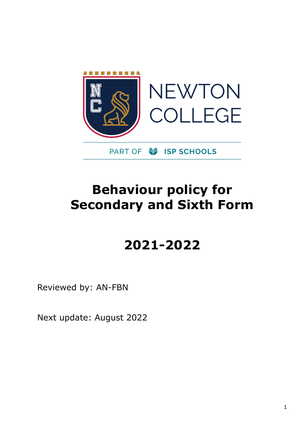

# **Behaviour policy for Secondary and Sixth Form**

# **2021-2022**

Reviewed by: AN-FBN

Next update: August 2022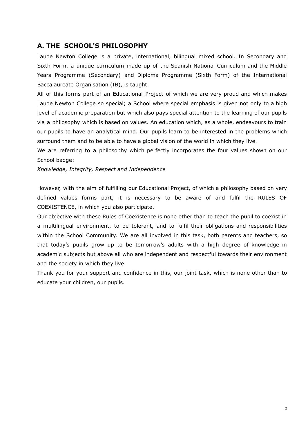# **A. THE SCHOOL'S PHILOSOPHY**

Laude Newton College is a private, international, bilingual mixed school. In Secondary and Sixth Form, a unique curriculum made up of the Spanish National Curriculum and the Middle Years Programme (Secondary) and Diploma Programme (Sixth Form) of the International Baccalaureate Organisation (IB), is taught.

All of this forms part of an Educational Project of which we are very proud and which makes Laude Newton College so special; a School where special emphasis is given not only to a high level of academic preparation but which also pays special attention to the learning of our pupils via a philosophy which is based on values. An education which, as a whole, endeavours to train our pupils to have an analytical mind. Our pupils learn to be interested in the problems which surround them and to be able to have a global vision of the world in which they live.

We are referring to a philosophy which perfectly incorporates the four values shown on our School badge:

*Knowledge, Integrity, Respect and Independence*

However, with the aim of fulfilling our Educational Project, of which a philosophy based on very defined values forms part, it is necessary to be aware of and fulfil the RULES OF COEXISTENCE, in which you also participate.

Our objective with these Rules of Coexistence is none other than to teach the pupil to coexist in a multilingual environment, to be tolerant, and to fulfil their obligations and responsibilities within the School Community. We are all involved in this task, both parents and teachers, so that today's pupils grow up to be tomorrow's adults with a high degree of knowledge in academic subjects but above all who are independent and respectful towards their environment and the society in which they live.

Thank you for your support and confidence in this, our joint task, which is none other than to educate your children, our pupils.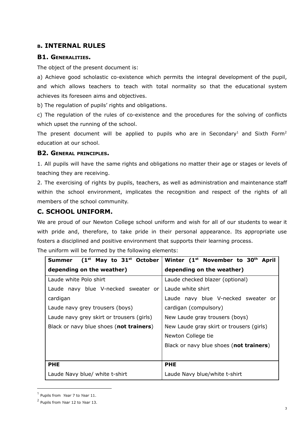## **<sup>B</sup>. INTERNAL RULES**

## **B1. GENERALITIES.**

The object of the present document is:

a) Achieve good scholastic co-existence which permits the integral development of the pupil, and which allows teachers to teach with total normality so that the educational system achieves its foreseen aims and objectives.

b) The regulation of pupils' rights and obligations.

c) The regulation of the rules of co-existence and the procedures for the solving of conflicts which upset the running of the school.

The present document will be applied to pupils who are in Secondary<sup>1</sup> and Sixth Form<sup>2</sup> education at our school.

#### **B2. GENERAL PRINCIPLES.**

1. All pupils will have the same rights and obligations no matter their age or stages or levels of teaching they are receiving.

2. The exercising of rights by pupils, teachers, as well as administration and maintenance staff within the school environment, implicates the recognition and respect of the rights of all members of the school community.

## **C. SCHOOL UNIFORM.**

We are proud of our Newton College school uniform and wish for all of our students to wear it with pride and, therefore, to take pride in their personal appearance. Its appropriate use fosters a disciplined and positive environment that supports their learning process. The uniform will be formed by the following elements:

| $(1st$ May to $31st$ October<br><b>Summer</b> | Winter (1 <sup>st</sup> November to 30 <sup>th</sup> April |
|-----------------------------------------------|------------------------------------------------------------|
| depending on the weather)                     | depending on the weather)                                  |
| Laude white Polo shirt                        | Laude checked blazer (optional)                            |
| Laude navy blue V-necked sweater or           | Laude white shirt                                          |
| cardigan                                      | Laude navy blue V-necked sweater or                        |
| Laude navy grey trousers (boys)               | cardigan (compulsory)                                      |
| Laude navy grey skirt or trousers (girls)     | New Laude gray trousers (boys)                             |
| Black or navy blue shoes (not trainers)       | New Laude gray skirt or trousers (girls)                   |
|                                               | Newton College tie                                         |
|                                               | Black or navy blue shoes (not trainers)                    |
|                                               |                                                            |
| <b>PHE</b>                                    | <b>PHE</b>                                                 |
| Laude Navy blue/ white t-shirt                | Laude Navy blue/white t-shirt                              |

<sup>1</sup> Pupils from *Year* 7 to *Year* 11.

<sup>2</sup> Pupils from *Year* 12 to *Year* 13.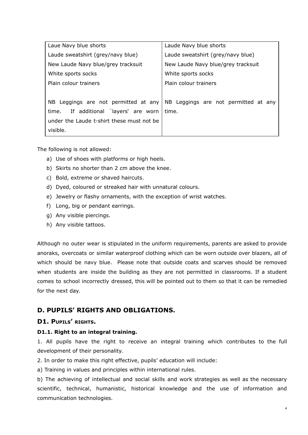| Laue Navy blue shorts                     | Laude Navy blue shorts               |
|-------------------------------------------|--------------------------------------|
| Laude sweatshirt (grey/navy blue)         | Laude sweatshirt (grey/navy blue)    |
| New Laude Navy blue/grey tracksuit        | New Laude Navy blue/grey tracksuit   |
| White sports socks                        | White sports socks                   |
| Plain colour trainers                     | Plain colour trainers                |
|                                           |                                      |
| NB Leggings are not permitted at any      | NB Leggings are not permitted at any |
| If additional 'layers' are worn<br>time.  | time.                                |
| under the Laude t-shirt these must not be |                                      |
| visible.                                  |                                      |

The following is not allowed:

- a) Use of shoes with platforms or high heels.
- b) Skirts no shorter than 2 cm above the knee.
- c) Bold, extreme or shaved haircuts.
- d) Dyed, coloured or streaked hair with unnatural colours.
- e) Jewelry or flashy ornaments, with the exception of wrist watches.
- f) Long, big or pendant earrings.
- g) Any visible piercings.
- h) Any visible tattoos.

Although no outer wear is stipulated in the uniform requirements, parents are asked to provide anoraks, overcoats or similar waterproof clothing which can be worn outside over blazers, all of which should be navy blue. Please note that outside coats and scarves should be removed when students are inside the building as they are not permitted in classrooms. If a student comes to school incorrectly dressed, this will be pointed out to them so that it can be remedied for the next day.

# **D. PUPILS' RIGHTS AND OBLIGATIONS.**

## **D1. PUPILS' RIGHTS.**

#### **D1.1. Right to an integral training.**

1. All pupils have the right to receive an integral training which contributes to the full development of their personality.

2. In order to make this right effective, pupils' education will include:

a) Training in values and principles within international rules.

b) The achieving of intellectual and social skills and work strategies as well as the necessary scientific, technical, humanistic, historical knowledge and the use of information and communication technologies.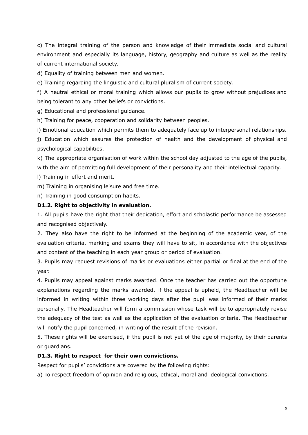c) The integral training of the person and knowledge of their immediate social and cultural environment and especially its language, history, geography and culture as well as the reality of current international society.

d) Equality of training between men and women.

e) Training regarding the linguistic and cultural pluralism of current society.

f) A neutral ethical or moral training which allows our pupils to grow without prejudices and being tolerant to any other beliefs or convictions.

g) Educational and professional guidance.

h) Training for peace, cooperation and solidarity between peoples.

i) Emotional education which permits them to adequately face up to interpersonal relationships.

j) Education which assures the protection of health and the development of physical and psychological capabilities.

k) The appropriate organisation of work within the school day adjusted to the age of the pupils, with the aim of permitting full development of their personality and their intellectual capacity.

l) Training in effort and merit.

m) Training in organising leisure and free time.

n) Training in good consumption habits.

#### **D1.2. Right to objectivity in evaluation.**

1. All pupils have the right that their dedication, effort and scholastic performance be assessed and recognised objectively.

2. They also have the right to be informed at the beginning of the academic year, of the evaluation criteria, marking and exams they will have to sit, in accordance with the objectives and content of the teaching in each year group or period of evaluation.

3. Pupils may request revisions of marks or evaluations either partial or final at the end of the year.

4. Pupils may appeal against marks awarded. Once the teacher has carried out the opportune explanations regarding the marks awarded, if the appeal is upheld, the Headteacher will be informed in writing within three working days after the pupil was informed of their marks personally. The Headteacher will form a commission whose task will be to appropriately revise the adequacy of the test as well as the application of the evaluation criteria. The Headteacher will notify the pupil concerned, in writing of the result of the revision.

5. These rights will be exercised, if the pupil is not yet of the age of majority, by their parents or guardians.

#### **D1.3. Right to respect for their own convictions.**

Respect for pupils' convictions are covered by the following rights:

a) To respect freedom of opinion and religious, ethical, moral and ideological convictions.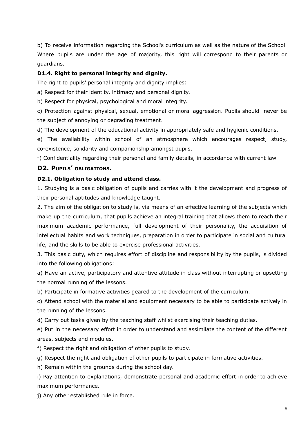b) To receive information regarding the School's curriculum as well as the nature of the School. Where pupils are under the age of majority, this right will correspond to their parents or guardians.

#### **D1.4. Right to personal integrity and dignity.**

The right to pupils' personal integrity and dignity implies:

a) Respect for their identity, intimacy and personal dignity.

b) Respect for physical, psychological and moral integrity.

c) Protection against physical, sexual, emotional or moral aggression. Pupils should never be the subject of annoying or degrading treatment.

d) The development of the educational activity in appropriately safe and hygienic conditions.

e) The availability within school of an atmosphere which encourages respect, study, co-existence, solidarity and companionship amongst pupils.

f) Confidentiality regarding their personal and family details, in accordance with current law.

## **D2. PUPILS' OBLIGATIONS.**

#### **D2.1. Obligation to study and attend class.**

1. Studying is a basic obligation of pupils and carries with it the development and progress of their personal aptitudes and knowledge taught.

2. The aim of the obligation to study is, via means of an effective learning of the subjects which make up the curriculum, that pupils achieve an integral training that allows them to reach their maximum academic performance, full development of their personality, the acquisition of intellectual habits and work techniques, preparation in order to participate in social and cultural life, and the skills to be able to exercise professional activities.

3. This basic duty, which requires effort of discipline and responsibility by the pupils, is divided into the following obligations:

a) Have an active, participatory and attentive attitude in class without interrupting or upsetting the normal running of the lessons.

b) Participate in formative activities geared to the development of the curriculum.

c) Attend school with the material and equipment necessary to be able to participate actively in the running of the lessons.

d) Carry out tasks given by the teaching staff whilst exercising their teaching duties.

e) Put in the necessary effort in order to understand and assimilate the content of the different areas, subjects and modules.

f) Respect the right and obligation of other pupils to study.

g) Respect the right and obligation of other pupils to participate in formative activities.

h) Remain within the grounds during the school day.

i) Pay attention to explanations, demonstrate personal and academic effort in order to achieve maximum performance.

j) Any other established rule in force.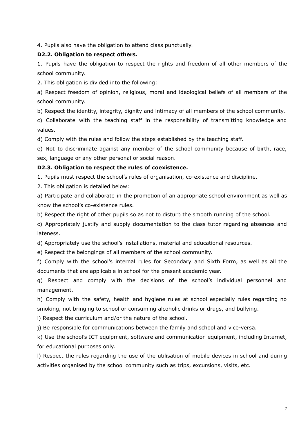4. Pupils also have the obligation to attend class punctually.

#### **D2.2. Obligation to respect others.**

1. Pupils have the obligation to respect the rights and freedom of all other members of the school community.

2. This obligation is divided into the following:

a) Respect freedom of opinion, religious, moral and ideological beliefs of all members of the school community.

b) Respect the identity, integrity, dignity and intimacy of all members of the school community.

c) Collaborate with the teaching staff in the responsibility of transmitting knowledge and values.

d) Comply with the rules and follow the steps established by the teaching staff.

e) Not to discriminate against any member of the school community because of birth, race, sex, language or any other personal or social reason.

#### **D2.3. Obligation to respect the rules of coexistence.**

1. Pupils must respect the school's rules of organisation, co-existence and discipline.

2. This obligation is detailed below:

a) Participate and collaborate in the promotion of an appropriate school environment as well as know the school's co-existence rules.

b) Respect the right of other pupils so as not to disturb the smooth running of the school.

c) Appropriately justify and supply documentation to the class tutor regarding absences and lateness.

d) Appropriately use the school's installations, material and educational resources.

e) Respect the belongings of all members of the school community.

f) Comply with the school's internal rules for Secondary and Sixth Form, as well as all the documents that are applicable in school for the present academic year.

g) Respect and comply with the decisions of the school's individual personnel and management.

h) Comply with the safety, health and hygiene rules at school especially rules regarding no smoking, not bringing to school or consuming alcoholic drinks or drugs, and bullying.

i) Respect the curriculum and/or the nature of the school.

j) Be responsible for communications between the family and school and vice-versa.

k) Use the school's ICT equipment, software and communication equipment, including Internet, for educational purposes only.

l) Respect the rules regarding the use of the utilisation of mobile devices in school and during activities organised by the school community such as trips, excursions, visits, etc.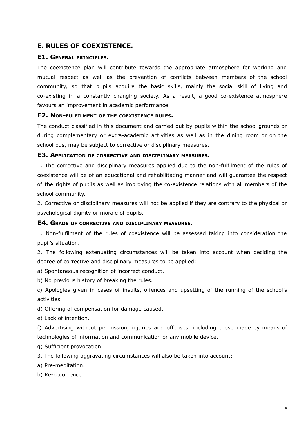# **E. RULES OF COEXISTENCE.**

#### **E1. GENERAL PRINCIPLES.**

The coexistence plan will contribute towards the appropriate atmosphere for working and mutual respect as well as the prevention of conflicts between members of the school community, so that pupils acquire the basic skills, mainly the social skill of living and co-existing in a constantly changing society. As a result, a good co-existence atmosphere favours an improvement in academic performance.

#### **E2. NON-FULFILMENT OF THE COEXISTENCE RULES.**

The conduct classified in this document and carried out by pupils within the school grounds or during complementary or extra-academic activities as well as in the dining room or on the school bus, may be subject to corrective or disciplinary measures.

#### **E3. APPLICATION OF CORRECTIVE AND DISCIPLINARY MEASURES.**

1. The corrective and disciplinary measures applied due to the non-fulfilment of the rules of coexistence will be of an educational and rehabilitating manner and will guarantee the respect of the rights of pupils as well as improving the co-existence relations with all members of the school community.

2. Corrective or disciplinary measures will not be applied if they are contrary to the physical or psychological dignity or morale of pupils.

#### **E4. GRADE OF CORRECTIVE AND DISCIPLINARY MEASURES.**

1. Non-fulfilment of the rules of coexistence will be assessed taking into consideration the pupil's situation.

2. The following extenuating circumstances will be taken into account when deciding the degree of corrective and disciplinary measures to be applied:

a) Spontaneous recognition of incorrect conduct.

b) No previous history of breaking the rules.

c) Apologies given in cases of insults, offences and upsetting of the running of the school's activities.

d) Offering of compensation for damage caused.

e) Lack of intention.

f) Advertising without permission, injuries and offenses, including those made by means of technologies of information and communication or any mobile device.

g) Sufficient provocation.

3. The following aggravating circumstances will also be taken into account:

a) Pre-meditation.

b) Re-occurrence.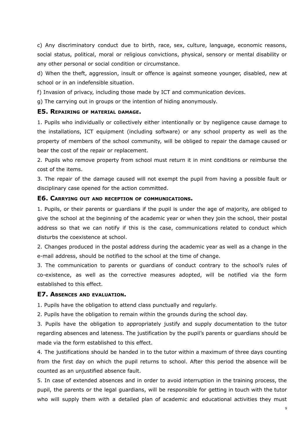c) Any discriminatory conduct due to birth, race, sex, culture, language, economic reasons, social status, political, moral or religious convictions, physical, sensory or mental disability or any other personal or social condition or circumstance.

d) When the theft, aggression, insult or offence is against someone younger, disabled, new at school or in an indefensible situation.

f) Invasion of privacy, including those made by ICT and communication devices.

g) The carrying out in groups or the intention of hiding anonymously.

#### **E5. REPAIRING OF MATERIAL DAMAGE.**

1. Pupils who individually or collectively either intentionally or by negligence cause damage to the installations, ICT equipment (including software) or any school property as well as the property of members of the school community, will be obliged to repair the damage caused or bear the cost of the repair or replacement.

2. Pupils who remove property from school must return it in mint conditions or reimburse the cost of the items.

3. The repair of the damage caused will not exempt the pupil from having a possible fault or disciplinary case opened for the action committed.

#### **E6. CARRYING OUT AND RECEPTION OF COMMUNICATIONS.**

1. Pupils, or their parents or guardians if the pupil is under the age of majority, are obliged to give the school at the beginning of the academic year or when they join the school, their postal address so that we can notify if this is the case, communications related to conduct which disturbs the coexistence at school.

2. Changes produced in the postal address during the academic year as well as a change in the e-mail address, should be notified to the school at the time of change.

3. The communication to parents or guardians of conduct contrary to the school's rules of co-existence, as well as the corrective measures adopted, will be notified via the form established to this effect.

#### **E7. ABSENCES AND EVALUATION.**

1. Pupils have the obligation to attend class punctually and regularly.

2. Pupils have the obligation to remain within the grounds during the school day.

3. Pupils have the obligation to appropriately justify and supply documentation to the tutor regarding absences and lateness. The justification by the pupil's parents or guardians should be made via the form established to this effect.

4. The justifications should be handed in to the tutor within a maximum of three days counting from the first day on which the pupil returns to school. After this period the absence will be counted as an unjustified absence fault.

5. In case of extended absences and in order to avoid interruption in the training process, the pupil, the parents or the legal guardians, will be responsible for getting in touch with the tutor who will supply them with a detailed plan of academic and educational activities they must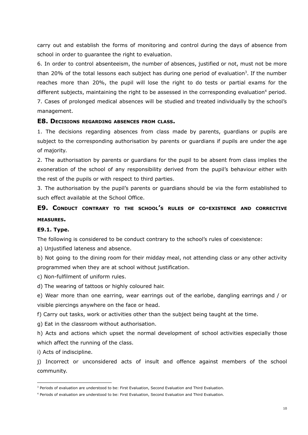carry out and establish the forms of monitoring and control during the days of absence from school in order to guarantee the right to evaluation.

6. In order to control absenteeism, the number of absences, justified or not, must not be more than 20% of the total lessons each subject has during one period of evaluation<sup>3</sup>. If the number reaches more than 20%, the pupil will lose the right to do tests or partial exams for the different subjects, maintaining the right to be assessed in the corresponding evaluation<sup>4</sup> period. 7. Cases of prolonged medical absences will be studied and treated individually by the school's management.

#### **E8. DECISIONS REGARDING ABSENCES FROM CLASS.**

1. The decisions regarding absences from class made by parents, guardians or pupils are subject to the corresponding authorisation by parents or guardians if pupils are under the age of majority.

2. The authorisation by parents or guardians for the pupil to be absent from class implies the exoneration of the school of any responsibility derived from the pupil's behaviour either with the rest of the pupils or with respect to third parties.

3. The authorisation by the pupil's parents or guardians should be via the form established to such effect available at the School Office.

# **E9. CONDUCT CONTRARY TO THE SCHOOL'<sup>S</sup> RULES OF CO-EXISTENCE AND CORRECTIVE MEASURES.**

#### **E9.1. Type.**

The following is considered to be conduct contrary to the school's rules of coexistence:

a) Unjustified lateness and absence.

b) Not going to the dining room for their midday meal, not attending class or any other activity programmed when they are at school without justification.

c) Non-fulfilment of uniform rules.

d) The wearing of tattoos or highly coloured hair.

e) Wear more than one earring, wear earrings out of the earlobe, dangling earrings and / or visible piercings anywhere on the face or head.

f) Carry out tasks, work or activities other than the subject being taught at the time.

g) Eat in the classroom without authorisation.

h) Acts and actions which upset the normal development of school activities especially those which affect the running of the class.

i) Acts of indiscipline.

j) Incorrect or unconsidered acts of insult and offence against members of the school community.

<sup>&</sup>lt;sup>3</sup> Periods of evaluation are understood to be: First Evaluation, Second Evaluation and Third Evaluation.

<sup>4</sup> Periods of evaluation are understood to be: First Evaluation, Second Evaluation and Third Evaluation.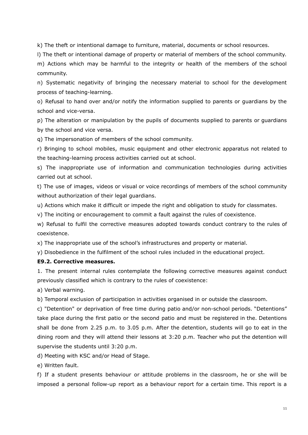k) The theft or intentional damage to furniture, material, documents or school resources.

l) The theft or intentional damage of property or material of members of the school community.

m) Actions which may be harmful to the integrity or health of the members of the school community.

n) Systematic negativity of bringing the necessary material to school for the development process of teaching-learning.

o) Refusal to hand over and/or notify the information supplied to parents or guardians by the school and vice-versa.

p) The alteration or manipulation by the pupils of documents supplied to parents or guardians by the school and vice versa.

q) The impersonation of members of the school community.

r) Bringing to school mobiles, music equipment and other electronic apparatus not related to the teaching-learning process activities carried out at school.

s) The inappropriate use of information and communication technologies during activities carried out at school.

t) The use of images, videos or visual or voice recordings of members of the school community without authorization of their legal guardians.

u) Actions which make it difficult or impede the right and obligation to study for classmates.

v) The inciting or encouragement to commit a fault against the rules of coexistence.

w) Refusal to fulfil the corrective measures adopted towards conduct contrary to the rules of coexistence.

x) The inappropriate use of the school's infrastructures and property or material.

y) Disobedience in the fulfilment of the school rules included in the educational project.

#### **E9.2. Corrective measures.**

1. The present internal rules contemplate the following corrective measures against conduct previously classified which is contrary to the rules of coexistence:

a) Verbal warning.

b) Temporal exclusion of participation in activities organised in or outside the classroom.

c) "Detention" or deprivation of free time during patio and/or non-school periods. "Detentions" take place during the first patio or the second patio and must be registered in the. Detentions shall be done from 2.25 p.m. to 3.05 p.m. After the detention, students will go to eat in the dining room and they will attend their lessons at 3:20 p.m. Teacher who put the detention will supervise the students until 3:20 p.m.

d) Meeting with KSC and/or Head of Stage.

e) Written fault.

f) If a student presents behaviour or attitude problems in the classroom, he or she will be imposed a personal follow-up report as a behaviour report for a certain time. This report is a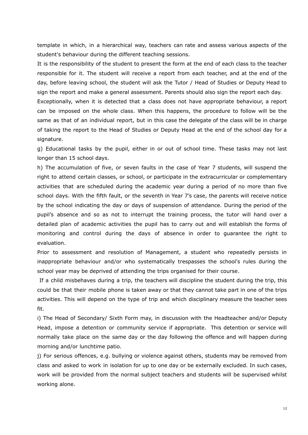template in which, in a hierarchical way, teachers can rate and assess various aspects of the student's behaviour during the different teaching sessions.

It is the responsibility of the student to present the form at the end of each class to the teacher responsible for it. The student will receive a report from each teacher, and at the end of the day, before leaving school, the student will ask the Tutor / Head of Studies or Deputy Head to sign the report and make a general assessment. Parents should also sign the report each day.

Exceptionally, when it is detected that a class does not have appropriate behaviour, a report can be imposed on the whole class. When this happens, the procedure to follow will be the same as that of an individual report, but in this case the delegate of the class will be in charge of taking the report to the Head of Studies or Deputy Head at the end of the school day for a signature.

g) Educational tasks by the pupil, either in or out of school time. These tasks may not last longer than 15 school days.

h) The accumulation of five, or seven faults in the case of Year 7 students, will suspend the right to attend certain classes, or school, or participate in the extracurricular or complementary activities that are scheduled during the academic year during a period of no more than five school days. With the fifth fault, or the seventh in Year 7's case, the parents will receive notice by the school indicating the day or days of suspension of attendance. During the period of the pupil's absence and so as not to interrupt the training process, the tutor will hand over a detailed plan of academic activities the pupil has to carry out and will establish the forms of monitoring and control during the days of absence in order to guarantee the right to evaluation.

Prior to assessment and resolution of Management, a student who repeatedly persists in inappropriate behaviour and/or who systematically trespasses the school's rules during the school year may be deprived of attending the trips organised for their course.

If a child misbehaves during a trip, the teachers will discipline the student during the trip, this could be that their mobile phone is taken away or that they cannot take part in one of the trips activities. This will depend on the type of trip and which disciplinary measure the teacher sees fit.

i) The Head of Secondary/ Sixth Form may, in discussion with the Headteacher and/or Deputy Head, impose a detention or community service if appropriate. This detention or service will normally take place on the same day or the day following the offence and will happen during morning and/or lunchtime patio.

j) For serious offences, e.g. bullying or violence against others, students may be removed from class and asked to work in isolation for up to one day or be externally excluded. In such cases, work will be provided from the normal subject teachers and students will be supervised whilst working alone.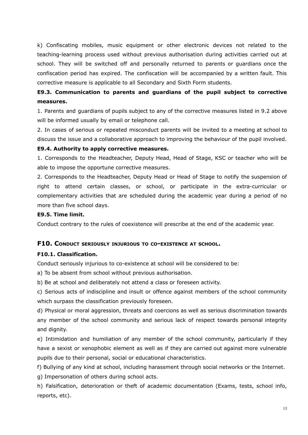k) Confiscating mobiles, music equipment or other electronic devices not related to the teaching-learning process used without previous authorisation during activities carried out at school. They will be switched off and personally returned to parents or guardians once the confiscation period has expired. The confiscation will be accompanied by a written fault. This corrective measure is applicable to all Secondary and Sixth Form students.

# **E9.3. Communication to parents and guardians of the pupil subject to corrective measures.**

1. Parents and guardians of pupils subject to any of the corrective measures listed in 9.2 above will be informed usually by email or telephone call.

2. In cases of serious or repeated misconduct parents will be invited to a meeting at school to discuss the issue and a collaborative approach to improving the behaviour of the pupil involved.

#### **E9.4. Authority to apply corrective measures.**

1. Corresponds to the Headteacher, Deputy Head, Head of Stage, KSC or teacher who will be able to impose the opportune corrective measures.

2. Corresponds to the Headteacher, Deputy Head or Head of Stage to notify the suspension of right to attend certain classes, or school, or participate in the extra-curricular or complementary activities that are scheduled during the academic year during a period of no more than five school days.

#### **E9.5. Time limit.**

Conduct contrary to the rules of coexistence will prescribe at the end of the academic year.

#### **F10. CONDUCT SERIOUSLY INJURIOUS TO CO-EXISTENCE AT SCHOOL.**

#### **F10.1. Classification.**

Conduct seriously injurious to co-existence at school will be considered to be:

a) To be absent from school without previous authorisation.

b) Be at school and deliberately not attend a class or foreseen activity.

c) Serious acts of indiscipline and insult or offence against members of the school community which surpass the classification previously foreseen.

d) Physical or moral aggression, threats and coercions as well as serious discrimination towards any member of the school community and serious lack of respect towards personal integrity and dignity.

e) Intimidation and humiliation of any member of the school community, particularly if they have a sexist or xenophobic element as well as if they are carried out against more vulnerable pupils due to their personal, social or educational characteristics.

f) Bullying of any kind at school, including harassment through social networks or the Internet.

g) Impersonation of others during school acts.

h) Falsification, deterioration or theft of academic documentation (Exams, tests, school info, reports, etc).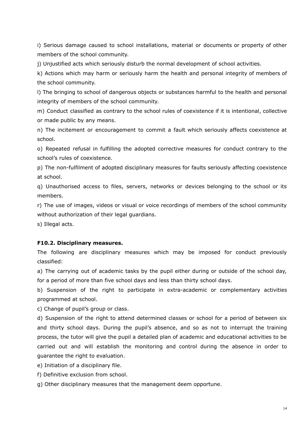i) Serious damage caused to school installations, material or documents or property of other members of the school community.

j) Unjustified acts which seriously disturb the normal development of school activities.

k) Actions which may harm or seriously harm the health and personal integrity of members of the school community.

l) The bringing to school of dangerous objects or substances harmful to the health and personal integrity of members of the school community.

m) Conduct classified as contrary to the school rules of coexistence if it is intentional, collective or made public by any means.

n) The incitement or encouragement to commit a fault which seriously affects coexistence at school.

o) Repeated refusal in fulfilling the adopted corrective measures for conduct contrary to the school's rules of coexistence.

p) The non-fulfilment of adopted disciplinary measures for faults seriously affecting coexistence at school.

q) Unauthorised access to files, servers, networks or devices belonging to the school or its members.

r) The use of images, videos or visual or voice recordings of members of the school community without authorization of their legal guardians.

s) Illegal acts.

## **F10.2. Disciplinary measures.**

The following are disciplinary measures which may be imposed for conduct previously classified:

a) The carrying out of academic tasks by the pupil either during or outside of the school day, for a period of more than five school days and less than thirty school days.

b) Suspension of the right to participate in extra-academic or complementary activities programmed at school.

c) Change of pupil's group or class.

d) Suspension of the right to attend determined classes or school for a period of between six and thirty school days. During the pupil's absence, and so as not to interrupt the training process, the tutor will give the pupil a detailed plan of academic and educational activities to be carried out and will establish the monitoring and control during the absence in order to guarantee the right to evaluation.

e) Initiation of a disciplinary file.

f) Definitive exclusion from school.

g) Other disciplinary measures that the management deem opportune.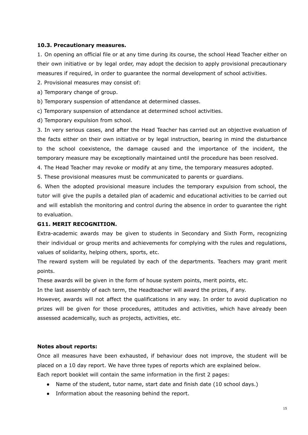#### **10.3. Precautionary measures.**

1. On opening an official file or at any time during its course, the school Head Teacher either on their own initiative or by legal order, may adopt the decision to apply provisional precautionary measures if required, in order to guarantee the normal development of school activities.

2. Provisional measures may consist of:

- a) Temporary change of group.
- b) Temporary suspension of attendance at determined classes.

c) Temporary suspension of attendance at determined school activities.

d) Temporary expulsion from school.

3. In very serious cases, and after the Head Teacher has carried out an objective evaluation of the facts either on their own initiative or by legal instruction, bearing in mind the disturbance to the school coexistence, the damage caused and the importance of the incident, the temporary measure may be exceptionally maintained until the procedure has been resolved.

4. The Head Teacher may revoke or modify at any time, the temporary measures adopted.

5. These provisional measures must be communicated to parents or guardians.

6. When the adopted provisional measure includes the temporary expulsion from school, the tutor will give the pupils a detailed plan of academic and educational activities to be carried out and will establish the monitoring and control during the absence in order to guarantee the right to evaluation.

## **G11. MERIT RECOGNITION.**

Extra-academic awards may be given to students in Secondary and Sixth Form, recognizing their individual or group merits and achievements for complying with the rules and regulations, values of solidarity, helping others, sports, etc.

The reward system will be regulated by each of the departments. Teachers may grant merit points.

These awards will be given in the form of house system points, merit points, etc.

In the last assembly of each term, the Headteacher will award the prizes, if any.

However, awards will not affect the qualifications in any way. In order to avoid duplication no prizes will be given for those procedures, attitudes and activities, which have already been assessed academically, such as projects, activities, etc.

#### **Notes about reports:**

Once all measures have been exhausted, if behaviour does not improve, the student will be placed on a 10 day report. We have three types of reports which are explained below. Each report booklet will contain the same information in the first 2 pages:

- Name of the student, tutor name, start date and finish date (10 school days.)
- Information about the reasoning behind the report.